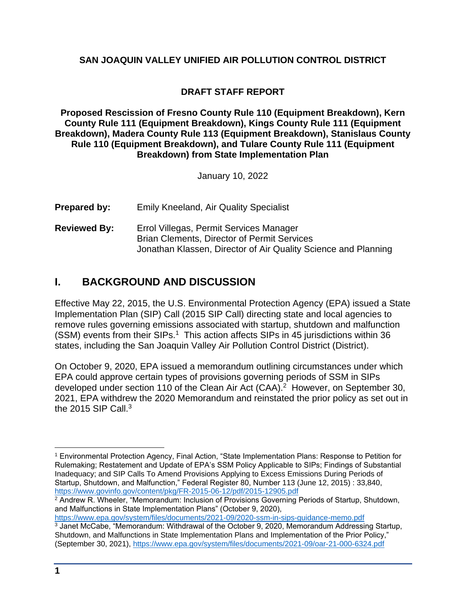## **SAN JOAQUIN VALLEY UNIFIED AIR POLLUTION CONTROL DISTRICT**

## **DRAFT STAFF REPORT**

**Proposed Rescission of Fresno County Rule 110 (Equipment Breakdown), Kern County Rule 111 (Equipment Breakdown), Kings County Rule 111 (Equipment Breakdown), Madera County Rule 113 (Equipment Breakdown), Stanislaus County Rule 110 (Equipment Breakdown), and Tulare County Rule 111 (Equipment Breakdown) from State Implementation Plan**

January 10, 2022

- **Prepared by:** Emily Kneeland, Air Quality Specialist
- **Reviewed By:** Errol Villegas, Permit Services Manager Brian Clements, Director of Permit Services Jonathan Klassen, Director of Air Quality Science and Planning

## **I. BACKGROUND AND DISCUSSION**

Effective May 22, 2015, the U.S. Environmental Protection Agency (EPA) issued a State Implementation Plan (SIP) Call (2015 SIP Call) directing state and local agencies to remove rules governing emissions associated with startup, shutdown and malfunction  $(SSM)$  events from their SIPs.<sup>1</sup> This action affects SIPs in 45 jurisdictions within 36 states, including the San Joaquin Valley Air Pollution Control District (District).

On October 9, 2020, EPA issued a memorandum outlining circumstances under which EPA could approve certain types of provisions governing periods of SSM in SIPs developed under section 110 of the Clean Air Act (CAA).<sup>2</sup> However, on September 30, 2021, EPA withdrew the 2020 Memorandum and reinstated the prior policy as set out in the 2015 SIP Call. $3$ 

 $^2$  Andrew R. Wheeler, "Memorandum: Inclusion of Provisions Governing Periods of Startup, Shutdown, and Malfunctions in State Implementation Plans" (October 9, 2020), <https://www.epa.gov/system/files/documents/2021-09/2020-ssm-in-sips-guidance-memo.pdf>

 $\overline{a}$ 

<sup>1</sup> Environmental Protection Agency, Final Action, "State Implementation Plans: Response to Petition for Rulemaking; Restatement and Update of EPA's SSM Policy Applicable to SIPs; Findings of Substantial Inadequacy; and SIP Calls To Amend Provisions Applying to Excess Emissions During Periods of Startup, Shutdown, and Malfunction," Federal Register 80, Number 113 (June 12, 2015) : 33,840, <https://www.govinfo.gov/content/pkg/FR-2015-06-12/pdf/2015-12905.pdf>

<sup>&</sup>lt;sup>3</sup> Janet McCabe, "Memorandum: Withdrawal of the October 9, 2020, Memorandum Addressing Startup, Shutdown, and Malfunctions in State Implementation Plans and Implementation of the Prior Policy," (September 30, 2021),<https://www.epa.gov/system/files/documents/2021-09/oar-21-000-6324.pdf>